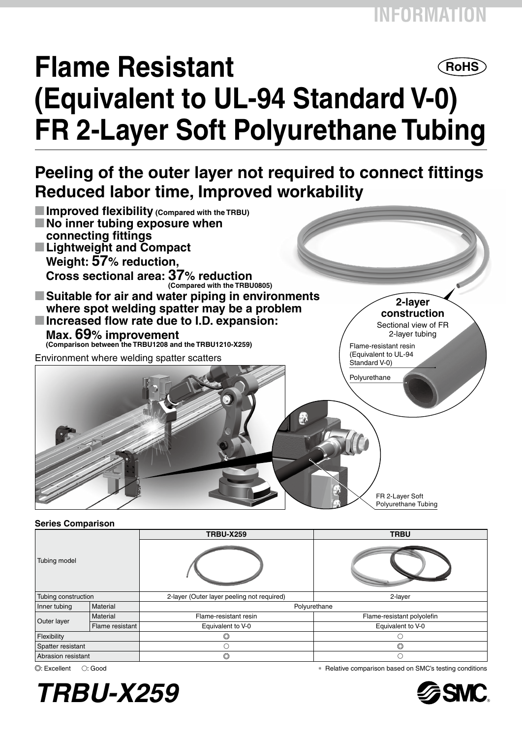# **Flame Resistant ROHS (Equivalent to UL-94 Standard V-0) FR 2-Layer Soft Polyurethane Tubing**

# **Peeling of the outer layer not required to connect fittings Reduced labor time, Improved workability**



### **Series Comparison**

| Tubing model        |                 | <b>TRBU-X259</b>                           | <b>TRBU</b>                |  |  |
|---------------------|-----------------|--------------------------------------------|----------------------------|--|--|
|                     |                 |                                            |                            |  |  |
| Tubing construction |                 | 2-layer (Outer layer peeling not required) | 2-layer                    |  |  |
| Inner tubing        | Material        | Polyurethane                               |                            |  |  |
| Outer layer         | Material        | Flame-resistant resin                      | Flame-resistant polyolefin |  |  |
|                     | Flame resistant | Equivalent to V-0                          | Equivalent to V-0          |  |  |
| Flexibility         |                 |                                            |                            |  |  |
| Spatter resistant   |                 | C                                          | O                          |  |  |
| Abrasion resistant  |                 | $_{\circ}$                                 | ∩                          |  |  |



: Excellent v: Good ∗ Relative comparison based on SMC's testing conditions